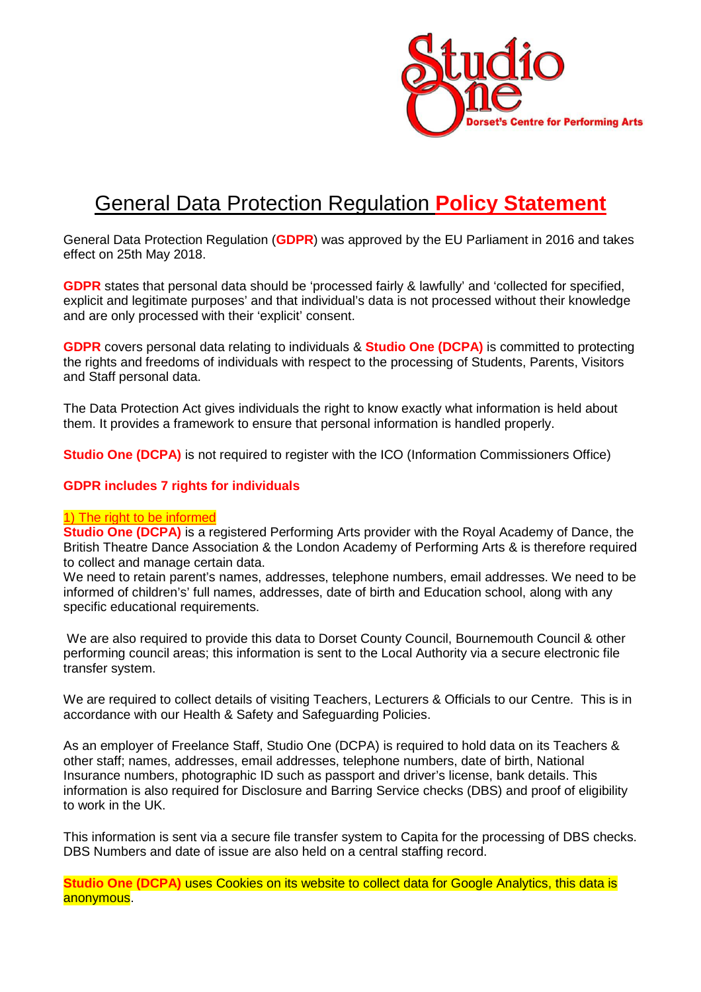

# General Data Protection Regulation **Policy Statement**

General Data Protection Regulation (**GDPR**) was approved by the EU Parliament in 2016 and takes effect on 25th May 2018.

**GDPR** states that personal data should be 'processed fairly & lawfully' and 'collected for specified, explicit and legitimate purposes' and that individual's data is not processed without their knowledge and are only processed with their 'explicit' consent.

**GDPR** covers personal data relating to individuals & **Studio One (DCPA)** is committed to protecting the rights and freedoms of individuals with respect to the processing of Students, Parents, Visitors and Staff personal data.

The Data Protection Act gives individuals the right to know exactly what information is held about them. It provides a framework to ensure that personal information is handled properly.

**Studio One (DCPA)** is not required to register with the ICO (Information Commissioners Office)

#### **GDPR includes 7 rights for individuals**

#### 1) The right to be informed

**Studio One (DCPA)** is a registered Performing Arts provider with the Royal Academy of Dance, the British Theatre Dance Association & the London Academy of Performing Arts & is therefore required to collect and manage certain data.

We need to retain parent's names, addresses, telephone numbers, email addresses. We need to be informed of children's' full names, addresses, date of birth and Education school, along with any specific educational requirements.

 We are also required to provide this data to Dorset County Council, Bournemouth Council & other performing council areas; this information is sent to the Local Authority via a secure electronic file transfer system.

We are required to collect details of visiting Teachers, Lecturers & Officials to our Centre. This is in accordance with our Health & Safety and Safeguarding Policies.

As an employer of Freelance Staff, Studio One (DCPA) is required to hold data on its Teachers & other staff; names, addresses, email addresses, telephone numbers, date of birth, National Insurance numbers, photographic ID such as passport and driver's license, bank details. This information is also required for Disclosure and Barring Service checks (DBS) and proof of eligibility to work in the UK.

This information is sent via a secure file transfer system to Capita for the processing of DBS checks. DBS Numbers and date of issue are also held on a central staffing record.

**Studio One (DCPA)** uses Cookies on its website to collect data for Google Analytics, this data is anonymous.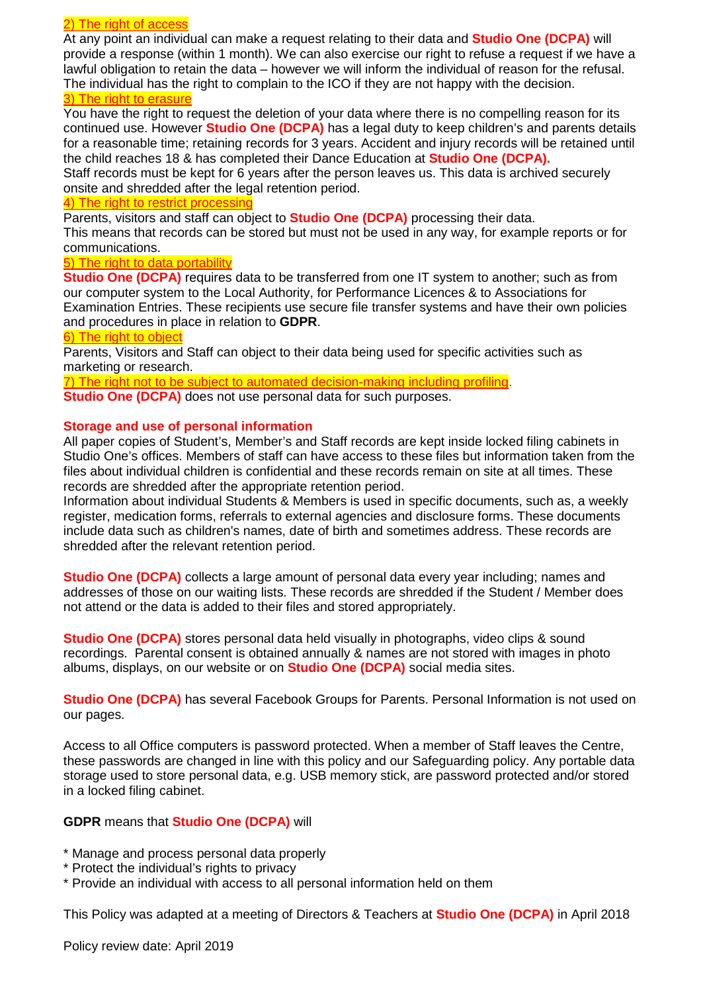#### 2) The right of access

At any point an individual can make a request relating to their data and **Studio One (DCPA)** will provide a response (within 1 month). We can also exercise our right to refuse a request if we have a lawful obligation to retain the data – however we will inform the individual of reason for the refusal. The individual has the right to complain to the ICO if they are not happy with the decision. 3) The right to erasure

You have the right to request the deletion of your data where there is no compelling reason for its continued use. However **Studio One (DCPA)** has a legal duty to keep children's and parents details for a reasonable time; retaining records for 3 years. Accident and injury records will be retained until the child reaches 18 & has completed their Dance Education at **Studio One (DCPA).**

Staff records must be kept for 6 years after the person leaves us. This data is archived securely onsite and shredded after the legal retention period.

#### 4) The right to restrict processing

Parents, visitors and staff can object to **Studio One (DCPA)** processing their data.

This means that records can be stored but must not be used in any way, for example reports or for communications.

### 5) The right to data portability

**Studio One (DCPA)** requires data to be transferred from one IT system to another; such as from our computer system to the Local Authority, for Performance Licences & to Associations for Examination Entries. These recipients use secure file transfer systems and have their own policies and procedures in place in relation to **GDPR**.

### 6) The right to object

Parents, Visitors and Staff can object to their data being used for specific activities such as marketing or research.

7) The right not to be subject to automated decision-making including profiling. **Studio One (DCPA)** does not use personal data for such purposes.

# **Storage and use of personal information**

All paper copies of Student's, Member's and Staff records are kept inside locked filing cabinets in Studio One's offices. Members of staff can have access to these files but information taken from the files about individual children is confidential and these records remain on site at all times. These records are shredded after the appropriate retention period.

Information about individual Students & Members is used in specific documents, such as, a weekly register, medication forms, referrals to external agencies and disclosure forms. These documents include data such as children's names, date of birth and sometimes address. These records are shredded after the relevant retention period.

**Studio One (DCPA)** collects a large amount of personal data every year including; names and addresses of those on our waiting lists. These records are shredded if the Student / Member does not attend or the data is added to their files and stored appropriately.

**Studio One (DCPA)** stores personal data held visually in photographs, video clips & sound recordings. Parental consent is obtained annually & names are not stored with images in photo albums, displays, on our website or on **Studio One (DCPA)** social media sites.

**Studio One (DCPA)** has several Facebook Groups for Parents. Personal Information is not used on our pages.

Access to all Office computers is password protected. When a member of Staff leaves the Centre, these passwords are changed in line with this policy and our Safeguarding policy. Any portable data storage used to store personal data, e.g. USB memory stick, are password protected and/or stored in a locked filing cabinet.

# **GDPR** means that **Studio One (DCPA)** will

- \* Manage and process personal data properly
- \* Protect the individual's rights to privacy
- \* Provide an individual with access to all personal information held on them

This Policy was adapted at a meeting of Directors & Teachers at **Studio One (DCPA)** in April 2018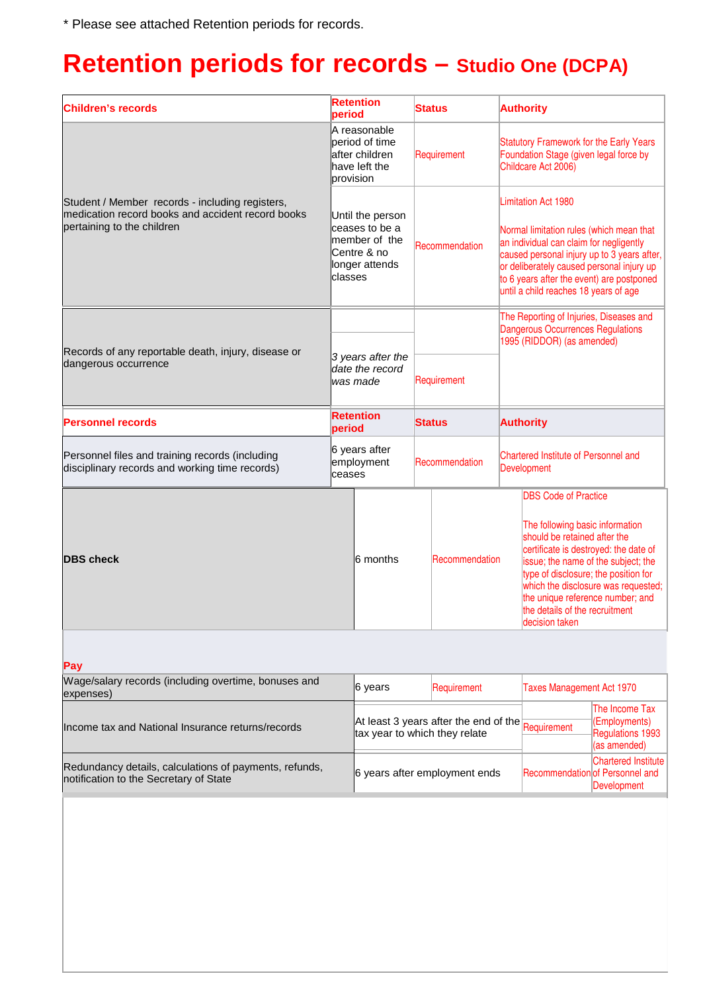\* Please see attached Retention periods for records.

# **Retention periods for records – Studio One (DCPA)**

| <b>Children's records</b>                                                                                                          | <b>Retention</b><br>period                                                                                                                                                          |                                                                                                | <b>Status</b>                                                          | <b>Authority</b>                                                                                                                                                                                                                                                                                                                                                        |  |
|------------------------------------------------------------------------------------------------------------------------------------|-------------------------------------------------------------------------------------------------------------------------------------------------------------------------------------|------------------------------------------------------------------------------------------------|------------------------------------------------------------------------|-------------------------------------------------------------------------------------------------------------------------------------------------------------------------------------------------------------------------------------------------------------------------------------------------------------------------------------------------------------------------|--|
|                                                                                                                                    | A reasonable<br>period of time<br>lafter children<br>have left the<br>provision<br>Until the person<br>ceases to be a<br>Imember of the<br>Centre & no<br>longer attends<br>classes |                                                                                                | Requirement                                                            | <b>Statutory Framework for the Early Years</b><br>Foundation Stage (given legal force by<br>Childcare Act 2006)                                                                                                                                                                                                                                                         |  |
| Student / Member records - including registers,<br>medication record books and accident record books<br>pertaining to the children |                                                                                                                                                                                     |                                                                                                | Recommendation                                                         | <b>Limitation Act 1980</b><br>Normal limitation rules (which mean that<br>an individual can claim for negligently<br>caused personal injury up to 3 years after,<br>or deliberately caused personal injury up<br>to 6 years after the event) are postponed<br>until a child reaches 18 years of age                                                                     |  |
|                                                                                                                                    |                                                                                                                                                                                     |                                                                                                |                                                                        | The Reporting of Injuries, Diseases and<br><b>Dangerous Occurrences Regulations</b><br>1995 (RIDDOR) (as amended)                                                                                                                                                                                                                                                       |  |
| Records of any reportable death, injury, disease or<br>dangerous occurrence                                                        | 3 years after the<br>date the record<br>was made                                                                                                                                    |                                                                                                | Requirement                                                            |                                                                                                                                                                                                                                                                                                                                                                         |  |
| <b>Personnel records</b>                                                                                                           | <b>Retention</b><br>period                                                                                                                                                          |                                                                                                | Status                                                                 | <b>Authority</b>                                                                                                                                                                                                                                                                                                                                                        |  |
| Personnel files and training records (including<br>disciplinary records and working time records)                                  | 6 years after<br>employment<br>ceases                                                                                                                                               | Recommendation                                                                                 |                                                                        | <b>Chartered Institute of Personnel and</b><br>Development                                                                                                                                                                                                                                                                                                              |  |
| <b>DBS</b> check                                                                                                                   |                                                                                                                                                                                     | 6 months                                                                                       |                                                                        | <b>DBS Code of Practice</b><br>The following basic information<br>should be retained after the<br>certificate is destroyed: the date of<br>Recommendation<br>issue; the name of the subject; the<br>type of disclosure; the position for<br>which the disclosure was requested;<br>the unique reference number; and<br>the details of the recruitment<br>decision taken |  |
| Pay                                                                                                                                |                                                                                                                                                                                     |                                                                                                |                                                                        |                                                                                                                                                                                                                                                                                                                                                                         |  |
| Wage/salary records (including overtime, bonuses and<br>expenses)                                                                  | 6 years                                                                                                                                                                             |                                                                                                | Requirement                                                            | <b>Taxes Management Act 1970</b>                                                                                                                                                                                                                                                                                                                                        |  |
| Income tax and National Insurance returns/records                                                                                  |                                                                                                                                                                                     |                                                                                                | At least 3 years after the end of the<br>tax year to which they relate | The Income Tax<br>(Employments)<br>Requirement<br><b>Regulations 1993</b><br>(as amended)                                                                                                                                                                                                                                                                               |  |
| Redundancy details, calculations of payments, refunds,<br>notification to the Secretary of State                                   |                                                                                                                                                                                     | <b>Chartered Institute</b><br>6 years after employment ends<br>Recommendation of Personnel and |                                                                        |                                                                                                                                                                                                                                                                                                                                                                         |  |

Development